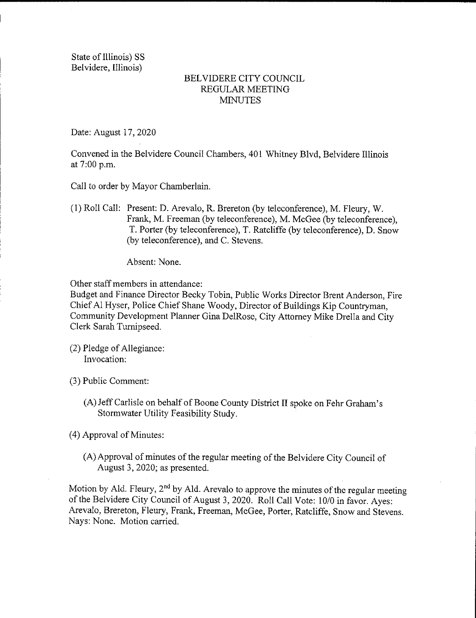State of Illinois) SS Belvidere, Illinois)

## BELVIDERE CITY COUNCIL REGULAR MEETING **MINUTES**

Date: August 17, 2020

Convened in the Belvidere Council Chambers, 401 Whitney Blvd, Belvidere Illinois at 7:00 p.m.

- Call to order by Mayor Chamberlain.
- 1) Roll Call: Present: D. Arevalo, R. Brereton ( by teleconference), M. Fleury, W. Frank, M. Freeman (by teleconference), M. McGee (by teleconference), T. Porter( by teleconference), T. Ratcliffe ( by teleconference), D. Snow by teleconference), and C. Stevens.

Absent: None.

Other staff members in attendance:

Budget and Finance Director Becky Tobin, Public Works Director Brent Anderson, Fire Chief Al Hyser, Police Chief Shane Woody, Director of Buildings Kip Countryman, Community Development Planner Gina DelRose, City Attorney Mike Drella and City Clerk Sarah Turnipseed.

- 2) Pledge of Allegiance: Invocation:
- 3) Public Comment:
	- A) Jeff Carlisle on behalf of Boone County District II spoke on Fehr Graham' <sup>s</sup> Stormwater Utility Feasibility Study.

4) Approval of Minutes:

A) Approval of minutes of the regular meeting of the Belvidere City Council of August 3, 2020; as presented.

Motion by Ald. Fleury,  $2<sup>nd</sup>$  by Ald. Arevalo to approve the minutes of the regular meeting of the Belvidere City Council of August 3, 2020. Roll Call Vote: 10/0 in favor. Ayes: Arevalo, Brereton, Fleury, Frank, Freeman, McGee, Porter, Ratcliffe, Snow and Stevens. Nays: None. Motion carried.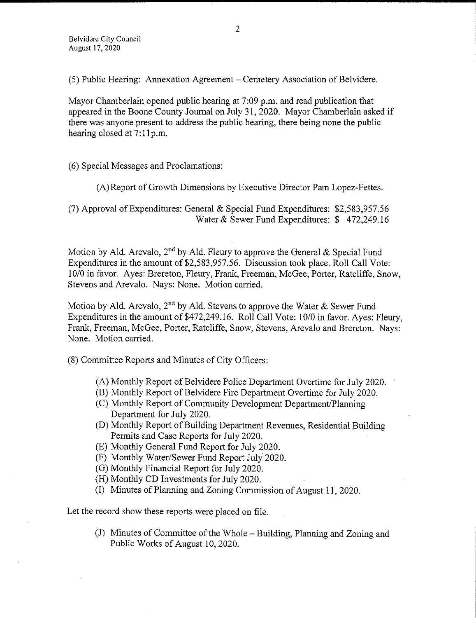5) Public Hearing: Annexation Agreement— Cemetery Association of Belvidere.

Mayor Chamberlain opened public hearing at 7:09 p.m. and read publication that appeared in the Boone County Journal on July 31, 2020. Mayor Chamberlain asked if there was anyone present to address the public hearing, there being none the public hearing closed at 7:11p.m.

6) Special Messages and Proclamations:

A) Report of Growth Dimensions by Executive Director Pam Lopez- Fettes.

(7) Approval of Expenditures: General  $&$  Special Fund Expenditures: \$2,583,957.56 Water& Sewer Fund Expenditures: \$ 472,249. 16

Motion by Ald. Arevalo, 2<sup>nd</sup> by Ald. Fleury to approve the General & Special Fund Expenditures in the amount of \$2,583,957.56. Discussion took place. Roll Call Vote: 10/0 in favor. Ayes: Brereton, Fleury, Frank, Freeman, McGee, Porter, Ratcliffe, Snow, Stevens and Arevalo. Nays: None. Motion carried.

Motion by Ald. Arevalo, 2<sup>nd</sup> by Ald. Stevens to approve the Water & Sewer Fund Expenditures in the amount of \$472, 249. 16. Roll Call Vote: 10/0 in favor. Ayes: Fleury, Frank, Freeman, McGee, Porter, Ratcliffe, Snow, Stevens, Arevalo and Brereton. Nays: None. Motion carried.

8) Committee Reports and Minutes of City Officers:

- A) Monthly Report of Belvidere Police Department Overtime for July 2020.
- B) Monthly Report of Belvidere Fire Department Overtime for July 2020.
- C) Monthly Report of Community Development Department/ Planning Department for July 2020.
- D) Monthly Report of Building Department Revenues, Residential Building Permits and Case Reports for July 2020.
- E) Monthly General Fund Report for July 2020.
- (F) Monthly Water/Sewer Fund Report July 2020.
- G) Monthly Financial Report for July 2020.
- H) Monthly CD Investments for July 2020.
- I) Minutes of Planning and Zoning Commission of August 11, 2020.

Let the record show these reports were placed on file.

J) Minutes of Committee of the Whole— Building, Planning and Zoning and Public Works of August 10, 2020.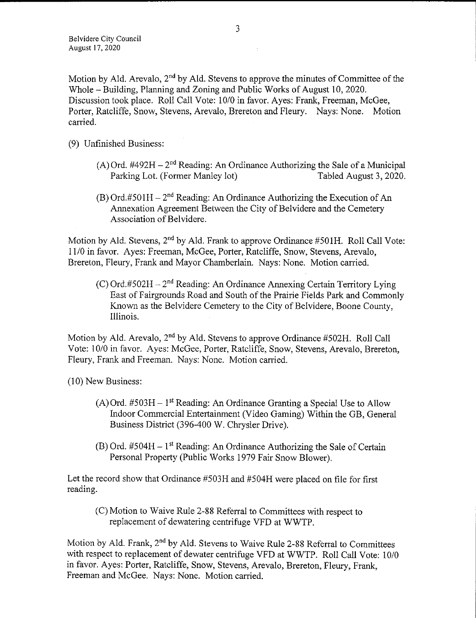Motion by Ald. Arevalo,  $2<sup>nd</sup>$  by Ald. Stevens to approve the minutes of Committee of the Whole – Building, Planning and Zoning and Public Works of August 10, 2020. Discussion took place. Roll Call Vote: 10/0 in favor. Ayes: Frank, Freeman, McGee, Porter, Ratcliffe, Snow, Stevens, Arevalo, Brereton and Fleury. Nays: None. Motion carried.

- 9) Unfinished Business:
	- (A) Ord.  $\text{\#492H} 2^{\text{nd}}$  Reading: An Ordinance Authorizing the Sale of a Municipal Parking Lot. (Former Manley lot) Tabled August 3, 2020. Parking Lot. (Former Manley lot)
	- $(B)$  Ord.#501H 2<sup>nd</sup> Reading: An Ordinance Authorizing the Execution of An Annexation Agreement Between the City of Belvidere and the Cemetery Association of Belvidere.

Motion by Ald. Stevens,  $2<sup>nd</sup>$  by Ald. Frank to approve Ordinance #501H. Roll Call Vote: 11/0 in favor. Ayes: Freeman, McGee, Porter, Ratcliffe, Snow, Stevens, Arevalo, Brereton, Fleury, Frank and Mayor Chamberlain. Nays: None. Motion carried.

(C) Ord.#502H  $-2<sup>nd</sup>$  Reading: An Ordinance Annexing Certain Territory Lying East of Fairgrounds Road and South of the Prairie Fields Park and Commonly Known as the Belvidere Cemetery to the City of Belvidere, Boone County, Illinois.

Motion by Ald. Arevalo,  $2<sup>nd</sup>$  by Ald. Stevens to approve Ordinance #502H. Roll Call Vote: 10/0 in favor. Ayes: McGee, Porter, Ratcliffe, Snow, Stevens, Arevalo, Brereton, Fleury, Frank and Freeman. Nays: None. Motion carried.

10) New Business:

- $(A)$  Ord. #503H 1<sup>st</sup> Reading: An Ordinance Granting a Special Use to Allow Indoor Commercial Entertainment ( Video Gaming) Within the GB, General Business District (396-400 W. Chrysler Drive).
- $(B)$  Ord. #504H 1<sup>st</sup> Reading: An Ordinance Authorizing the Sale of Certain Personal Property (Public Works 1979 Fair Snow Blower).

Let the record show that Ordinance #503H and #504H were placed on file for first reading.

C) Motion to Waive Rule 2- 88 Referral to Committees with respect to replacement of dewatering centrifuge VFD at WWTP.

Motion by Ald. Frank, 2nd by Ald. Stevens to Waive Rule 2- 88 Referral to Committees with respect to replacement of dewater centrifuge VFD at WWTP. Roll Call Vote: 10/0 in favor. Ayes: Porter, Ratcliffe, Snow, Stevens, Arevalo, Brereton, Fleury, Frank, Freeman and McGee. Nays: None. Motion carried.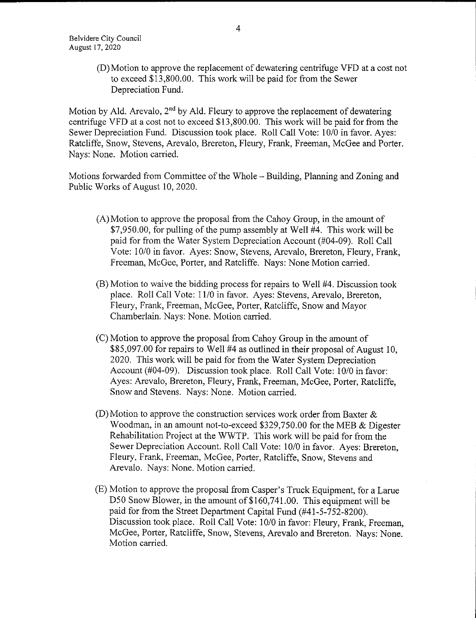D) Motion to approve the replacement of dewatering centrifuge VFD at <sup>a</sup> cost not to exceed \$13,800.00. This work will be paid for from the Sewer Depreciation Fund.

Motion by Ald. Arevalo,  $2<sup>nd</sup>$  by Ald. Fleury to approve the replacement of dewatering centrifuge VFD at a cost not to exceed \$13,800.00. This work will be paid for from the Sewer Depreciation Fund. Discussion took place. Roll Call Vote: 10/0 in favor. Ayes: Ratcliffe, Snow, Stevens, Arevalo, Brereton, Fleury, Frank, Freeman, McGee and Porter. Nays: None. Motion carried.

Motions forwarded from Committee of the Whole— Building, Planning and Zoning and Public Works of August 10, 2020.

- A) Motion to approve the proposal from the Cahoy Group, in the amount of 7,950.00, for pulling of the pump assembly at Well #4. This work will be paid for from the Water System Depreciation Account (#04-09). Roll Call Vote: 10/0 in favor. Ayes: Snow, Stevens, Arevalo, Brereton, Fleury, Frank, Freeman, McGee, Porter, and Ratcliffe. Nays: None Motion carried.
- (B) Motion to waive the bidding process for repairs to Well #4. Discussion took place. Roll Call Vote: 11/0 in favor. Ayes: Stevens, Arevalo, Brereton, Fleury, Frank, Freeman, McGee, Porter, Ratcliffe, Snow and Mayor Chamberlain. Nays: None. Motion carried.
- C) Motion to approve the proposal from Cahoy Group in the amount of \$85,097.00 for repairs to Well #4 as outlined in their proposal of August 10, 2020. This work will be paid for from the Water System Depreciation Account (#04-09). Discussion took place. Roll Call Vote: 10/0 in favor: Ayes: Arevalo, Brereton, Fleury, Frank, Freeman, McGee, Porter, Ratcliffe, Snow and Stevens. Nays: None. Motion carried.
- $(D)$  Motion to approve the construction services work order from Baxter  $\&$ Woodman, in an amount not-to-exceed \$329,750.00 for the MEB & Digester Rehabilitation Project at the WWTP. This work will be paid for from the Sewer Depreciation Account. Roll Call Vote: 10/0 in favor. Ayes: Brereton, Fleury, Frank, Freeman, McGee, Porter, Ratcliffe, Snow, Stevens and Arevalo. Nays: None. Motion carried.
- E) Motion to approve the proposal from Casper' <sup>s</sup> Truck Equipment, for a Larue D50 Snow Blower, in the amount of \$160,741.00. This equipment will be paid for from the Street Department Capital Fund (#41-5-752-8200). Discussion took place. Roll Call Vote: 10/0 in favor: Fleury, Frank, Freeman, McGee, Porter, Ratcliffe, Snow, Stevens, Arevalo and Brereton. Nays: None. Motion carried.